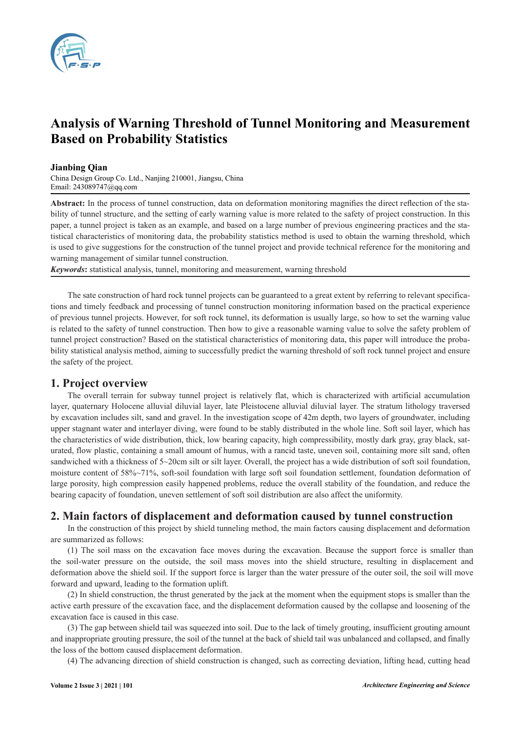

# **Analysis of Warning Threshold of Tunnel Monitoring and Measurement Based on Probability Statistics**

#### **Jianbing Qian**

China Design Group Co. Ltd., Nanjing 210001, Jiangsu, China Email: 243089747@qq.com

**Abstract:** In the process of tunnel construction, data on deformation monitoring magnifies the direct reflection of the stability of tunnel structure, and the setting of early warning value is more related to the safety of project construction. In this paper, a tunnel project is taken as an example, and based on a large number of previous engineering practices and the statistical characteristics of monitoring data, the probability statistics method is used to obtain the warning threshold, which is used to give suggestions for the construction of the tunnel project and provide technical reference for the monitoring and warning management of similar tunnel construction.

*Keywords***:** statistical analysis, tunnel, monitoring and measurement, warning threshold

The sate construction of hard rock tunnel projects can be guaranteed to a great extent by referring to relevant specifications and timely feedback and processing of tunnel construction monitoring information based on the practical experience of previous tunnel projects. However, for soft rock tunnel, its deformation is usually large, so how to set the warning value is related to the safety of tunnel construction. Then how to give a reasonable warning value to solve the safety problem of tunnel project construction? Based on the statistical characteristics of monitoring data, this paper will introduce the probability statistical analysis method, aiming to successfully predict the warning threshold of soft rock tunnel project and ensure the safety of the project.

### **1. Project overview**

The overall terrain for subway tunnel project is relatively flat, which is characterized with artificial accumulation layer, quaternary Holocene alluvial diluvial layer, late Pleistocene alluvial diluvial layer. The stratum lithology traversed by excavation includes silt, sand and gravel. In the investigation scope of 42m depth, two layers of groundwater, including upper stagnant water and interlayer diving, were found to be stably distributed in the whole line. Soft soil layer, which has the characteristics of wide distribution, thick, low bearing capacity, high compressibility, mostly dark gray, gray black, saturated, flow plastic, containing a small amount of humus, with a rancid taste, uneven soil, containing more silt sand, often sandwiched with a thickness of 5~20cm silt or silt layer. Overall, the project has a wide distribution of soft soil foundation, moisture content of 58%~71%, soft-soil foundation with large soft soil foundation settlement, foundation deformation of large porosity, high compression easily happened problems, reduce the overall stability of the foundation, and reduce the bearing capacity of foundation, uneven settlement of soft soil distribution are also affect the uniformity.

## **2. Main factors of displacement and deformation caused by tunnel construction**

In the construction of this project by shield tunneling method, the main factors causing displacement and deformation are summarized as follows:

(1) The soil mass on the excavation face moves during the excavation. Because the support force is smaller than the soil-water pressure on the outside, the soil mass moves into the shield structure, resulting in displacement and deformation above the shield soil. If the support force is larger than the water pressure of the outer soil, the soil will move forward and upward, leading to the formation uplift.

(2) In shield construction, the thrust generated by the jack at the moment when the equipment stops is smaller than the active earth pressure of the excavation face, and the displacement deformation caused by the collapse and loosening of the excavation face is caused in this case.

(3) The gap between shield tail was squeezed into soil. Due to the lack of timely grouting, insufficient grouting amount and inappropriate grouting pressure, the soil of the tunnel at the back of shield tail was unbalanced and collapsed, and finally the loss of the bottom caused displacement deformation.

(4) The advancing direction of shield construction is changed, such as correcting deviation, lifting head, cutting head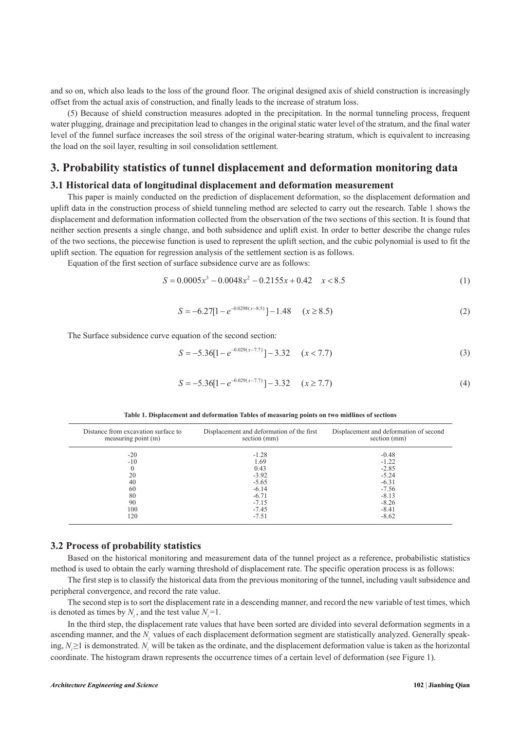and so on, which also leads to the loss of the ground floor. The original designed axis of shield construction is increasingly offset from the actual axis of construction, and finally leads to the increase of stratum loss.

(5) Because of shield construction measures adopted in the precipitation. In the normal tunneling process, frequent water plugging, drainage and precipitation lead to changes in the original static water level of the stratum, and the final water level of the funnel surface increases the soil stress of the original water-bearing stratum, which is equivalent to increasing the load on the soil layer, resulting in soil consolidation settlement.

## **3. Probability statistics of tunnel displacement and deformation monitoring data**

#### **3.1 Historical data of longitudinal displacement and deformation measurement**

This paper is mainly conducted on the prediction of displacement deformation, so the displacement deformation and uplift data in the construction process of shield tunneling method are selected to carry out the research. Table 1 shows the displacement and deformation information collected from the observation of the two sections of this section. It is found that neither section presents a single change, and both subsidence and uplift exist. In order to better describe the change rules of the two sections, the piecewise function is used to represent the uplift section, and the cubic polynomial is used to fit the uplift section. The equation for regression analysis of the settlement section is as follows.

Equation of the first section of surface subsidence curve are as follows:

$$
S = 0.0005x^3 - 0.0048x^2 - 0.2155x + 0.42 \quad x < 8.5 \tag{1}
$$

$$
S = -6.27[1 - e^{-0.0298(x - 8.5)}] - 1.48 \quad (x \ge 8.5)
$$
 (2)

The Surface subsidence curve equation of the second section:

$$
S = -5.36[1 - e^{-0.029(x - 7.7)}] - 3.32 \quad (x < 7.7)
$$
\n(3)

$$
S = -5.36[1 - e^{-0.029(x - 7.7)}] - 3.32 \quad (x \ge 7.7)
$$
\n(4)

| Table 1. Displacement and deformation Tables of measuring points on two midlines of sections |  |  |  |  |
|----------------------------------------------------------------------------------------------|--|--|--|--|
|                                                                                              |  |  |  |  |

| Distance from excavation surface to<br>measuring point (m) | Displacement and deformation of the first<br>section (mm) | Displacement and deformation of second<br>section (mm) |
|------------------------------------------------------------|-----------------------------------------------------------|--------------------------------------------------------|
| $-20$                                                      | $-1.28$                                                   | $-0.48$                                                |
| $-10$                                                      | 1.69                                                      | $-1.22$                                                |
|                                                            | 0.43                                                      | $-2.85$                                                |
| 20                                                         | $-3.92$                                                   | $-5.24$                                                |
| 40                                                         | $-5.65$                                                   | $-6.31$                                                |
| 60                                                         | $-6.14$                                                   | $-7.56$                                                |
| 80                                                         | $-6.71$                                                   | $-8.13$                                                |
| 90                                                         | $-7.15$                                                   | $-8.26$                                                |
| 100                                                        | $-7.45$                                                   | $-8.41$                                                |
| 120                                                        | $-7.51$                                                   | $-8.62$                                                |

#### **3.2 Process of probability statistics**

Based on the historical monitoring and measurement data of the tunnel project as a reference, probabilistic statistics method is used to obtain the early warning threshold of displacement rate. The specific operation process is as follows:

The first step is to classify the historical data from the previous monitoring of the tunnel, including vault subsidence and peripheral convergence, and record the rate value.

The second step is to sort the displacement rate in a descending manner, and record the new variable of test times, which is denoted as times by  $N_i$ , and the test value  $N_i = 1$ .

In the third step, the displacement rate values that have been sorted are divided into several deformation segments in a ascending manner, and the *N<sub>i</sub>* values of each displacement deformation segment are statistically analyzed. Generally speaking,  $N_i \geq 1$  is demonstrated.  $N_i$  will be taken as the ordinate, and the displacement deformation value is taken as the horizontal coordinate. The histogram drawn represents the occurrence times of a certain level of deformation (see Figure 1).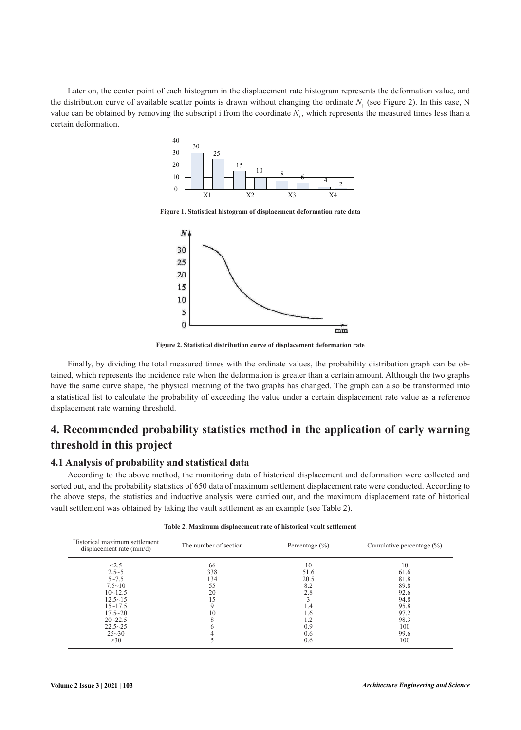Later on, the center point of each histogram in the displacement rate histogram represents the deformation value, and the distribution curve of available scatter points is drawn without changing the ordinate *Ni* (see Figure 2). In this case, N value can be obtained by removing the subscript i from the coordinate N<sub>i</sub>, which represents the measured times less than a certain deformation.



**Figure 1. Statistical histogram of displacement deformation rate data**



**Figure 2. Statistical distribution curve of displacement deformation rate**

Finally, by dividing the total measured times with the ordinate values, the probability distribution graph can be obtained, which represents the incidence rate when the deformation is greater than a certain amount. Although the two graphs have the same curve shape, the physical meaning of the two graphs has changed. The graph can also be transformed into a statistical list to calculate the probability of exceeding the value under a certain displacement rate value as a reference displacement rate warning threshold.

## **4. Recommended probability statistics method in the application of early warning threshold in this project**

#### **4.1 Analysis of probability and statistical data**

According to the above method, the monitoring data of historical displacement and deformation were collected and sorted out, and the probability statistics of 650 data of maximum settlement displacement rate were conducted. According to the above steps, the statistics and inductive analysis were carried out, and the maximum displacement rate of historical vault settlement was obtained by taking the vault settlement as an example (see Table 2).

| Table 2. Maximum uisplacement rate of mstorical vault settlement                                                            |                                                    |                                                |                                                                    |  |  |
|-----------------------------------------------------------------------------------------------------------------------------|----------------------------------------------------|------------------------------------------------|--------------------------------------------------------------------|--|--|
| Historical maximum settlement<br>displacement rate $\text{(mm/d)}$                                                          | The number of section                              | Percentage $(\% )$                             | Cumulative percentage $(\% )$                                      |  |  |
| < 2.5<br>$2.5 - 5$<br>$5 - 7.5$<br>$7.5 \sim 10$<br>$10 - 12.5$<br>$12.5 - 15$<br>$15 - 17.5$<br>$17.5 - 20$<br>$20 - 22.5$ | 66<br>338<br>134<br>55<br>20<br>15<br>9<br>10<br>8 | 10<br>51.6<br>20.5<br>8.2<br>2.8<br>1.4<br>1.6 | 10<br>61.6<br>81.8<br>89.8<br>92.6<br>94.8<br>95.8<br>97.2<br>98.3 |  |  |
| $22.5 - 25$<br>$25 - 30$<br>>30                                                                                             |                                                    | 0.9<br>0.6<br>0.6                              | 100<br>99.6<br>100                                                 |  |  |

**Table 2. Maximum displacement rate of historical vault settlement**